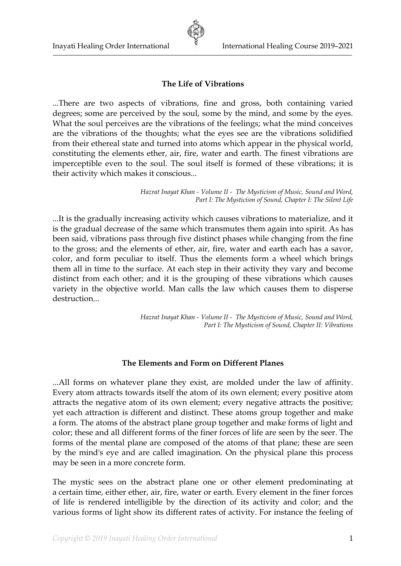## **The Life of Vibrations**

...There are two aspects of vibrations, fine and gross, both containing varied degrees; some are perceived by the soul, some by the mind, and some by the eyes. What the soul perceives are the vibrations of the feelings; what the mind conceives are the vibrations of the thoughts; what the eyes see are the vibrations solidified from their ethereal state and turned into atoms which appear in the physical world, constituting the elements ether, air, fire, water and earth. The finest vibrations are imperceptible even to the soul. The soul itself is formed of these vibrations; it is their activity which makes it conscious...

> *Hazrat Inayat Khan - Volume II - The Mysticism of Music, Sound and Word, Part I: The Mysticism of Sound, Chapter I: The Silent Life*

...It is the gradually increasing activity which causes vibrations to materialize, and it is the gradual decrease of the same which transmutes them again into spirit. As has been said, vibrations pass through five distinct phases while changing from the fine to the gross; and the elements of ether, air, fire, water and earth each has a savor, color, and form peculiar to itself. Thus the elements form a wheel which brings them all in time to the surface. At each step in their activity they vary and become distinct from each other; and it is the grouping of these vibrations which causes variety in the objective world. Man calls the law which causes them to disperse destruction...

> *Hazrat Inayat Khan - Volume II - The Mysticism of Music, Sound and Word, Part I: The Mysticism of Sound, Chapter II: Vibrations*

#### **The Elements and Form on Different Planes**

...All forms on whatever plane they exist, are molded under the law of affinity. Every atom attracts towards itself the atom of its own element; every positive atom attracts the negative atom of its own element; every negative attracts the positive; yet each attraction is different and distinct. These atoms group together and make a form. The atoms of the abstract plane group together and make forms of light and color; these and all different forms of the finer forces of life are seen by the seer. The forms of the mental plane are composed of the atoms of that plane; these are seen by the mind's eye and are called imagination. On the physical plane this process may be seen in a more concrete form.

The mystic sees on the abstract plane one or other element predominating at a certain time, either ether, air, fire, water or earth. Every element in the finer forces of life is rendered intelligible by the direction of its activity and color; and the various forms of light show its different rates of activity. For instance the feeling of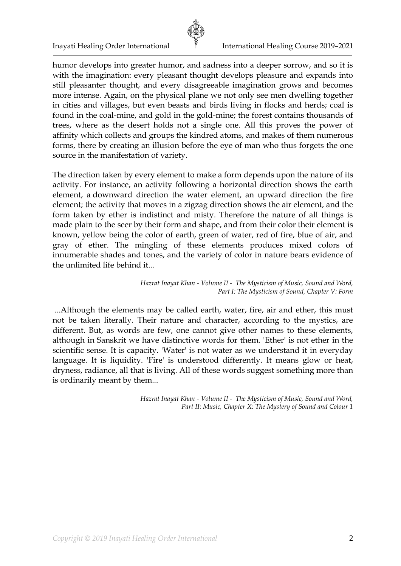

humor develops into greater humor, and sadness into a deeper sorrow, and so it is with the imagination: every pleasant thought develops pleasure and expands into still pleasanter thought, and every disagreeable imagination grows and becomes more intense. Again, on the physical plane we not only see men dwelling together in cities and villages, but even beasts and birds living in flocks and herds; coal is found in the coal-mine, and gold in the gold-mine; the forest contains thousands of trees, where as the desert holds not a single one. All this proves the power of affinity which collects and groups the kindred atoms, and makes of them numerous forms, there by creating an illusion before the eye of man who thus forgets the one source in the manifestation of variety.

The direction taken by every element to make a form depends upon the nature of its activity. For instance, an activity following a horizontal direction shows the earth element, a downward direction the water element, an upward direction the fire element; the activity that moves in a zigzag direction shows the air element, and the form taken by ether is indistinct and misty. Therefore the nature of all things is made plain to the seer by their form and shape, and from their color their element is known, yellow being the color of earth, green of water, red of fire, blue of air, and gray of ether. The mingling of these elements produces mixed colors of innumerable shades and tones, and the variety of color in nature bears evidence of the unlimited life behind it...

#### *Hazrat Inayat Khan - Volume II - The Mysticism of Music, Sound and Word, Part I: The Mysticism of Sound, Chapter V: Form*

...Although the elements may be called earth, water, fire, air and ether, this must not be taken literally. Their nature and character, according to the mystics, are different. But, as words are few, one cannot give other names to these elements, although in Sanskrit we have distinctive words for them. 'Ether' is not ether in the scientific sense. It is capacity. 'Water' is not water as we understand it in everyday language. It is liquidity. 'Fire' is understood differently. It means glow or heat, dryness, radiance, all that is living. All of these words suggest something more than is ordinarily meant by them...

> *Hazrat Inayat Khan - Volume II - The Mysticism of Music, Sound and Word, Part II: Music, Chapter X: The Mystery of Sound and Colour 1*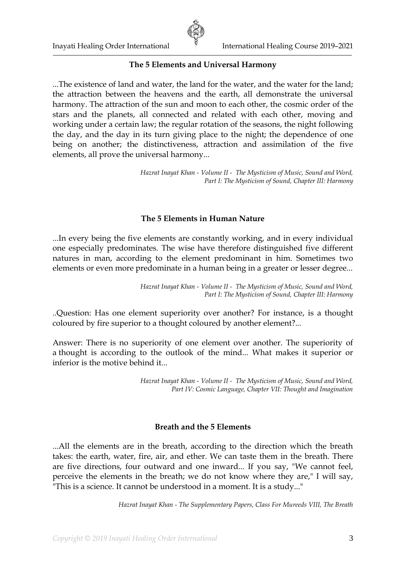

## **The 5 Elements and Universal Harmony**

...The existence of land and water, the land for the water, and the water for the land; the attraction between the heavens and the earth, all demonstrate the universal harmony. The attraction of the sun and moon to each other, the cosmic order of the stars and the planets, all connected and related with each other, moving and working under a certain law; the regular rotation of the seasons, the night following the day, and the day in its turn giving place to the night; the dependence of one being on another; the distinctiveness, attraction and assimilation of the five elements, all prove the universal harmony...

> *Hazrat Inayat Khan - Volume II - The Mysticism of Music, Sound and Word, Part I: The Mysticism of Sound, Chapter III: Harmony*

## **The 5 Elements in Human Nature**

...In every being the five elements are constantly working, and in every individual one especially predominates. The wise have therefore distinguished five different natures in man, according to the element predominant in him. Sometimes two elements or even more predominate in a human being in a greater or lesser degree...

> *Hazrat Inayat Khan - Volume II - The Mysticism of Music, Sound and Word, Part I: The Mysticism of Sound, Chapter III: Harmony*

..Question: Has one element superiority over another? For instance, is a thought coloured by fire superior to a thought coloured by another element?...

Answer: There is no superiority of one element over another. The superiority of a thought is according to the outlook of the mind... What makes it superior or inferior is the motive behind it...

> *Hazrat Inayat Khan - Volume II - The Mysticism of Music, Sound and Word, Part IV: Cosmic Language, Chapter VII: Thought and Imagination*

## **Breath and the 5 Elements**

...All the elements are in the breath, according to the direction which the breath takes: the earth, water, fire, air, and ether. We can taste them in the breath. There are five directions, four outward and one inward... If you say, "We cannot feel, perceive the elements in the breath; we do not know where they are," I will say, "This is a science. It cannot be understood in a moment. It is a study..."

*Hazrat Inayat Khan - The Supplementary Papers, Class For Mureeds VIII, The Breath*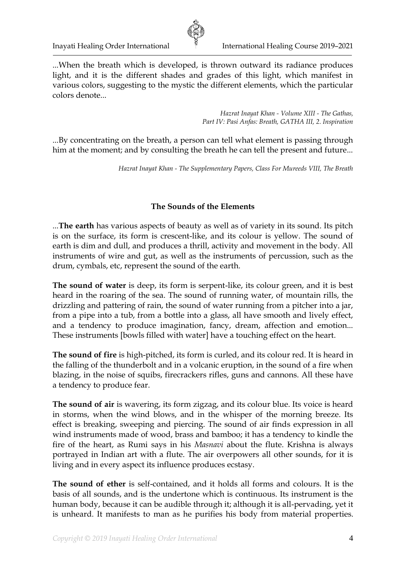

...When the breath which is developed, is thrown outward its radiance produces light, and it is the different shades and grades of this light, which manifest in various colors, suggesting to the mystic the different elements, which the particular colors denote...

> *Hazrat Inayat Khan - Volume XIII - The Gathas, Part IV: Pasi Anfas: Breath, GATHA III, 2. Inspiration*

...By concentrating on the breath, a person can tell what element is passing through him at the moment; and by consulting the breath he can tell the present and future...

*Hazrat Inayat Khan - The Supplementary Papers, Class For Mureeds VIII, The Breath*

## **The Sounds of the Elements**

...**The earth** has various aspects of beauty as well as of variety in its sound. Its pitch is on the surface, its form is crescent-like, and its colour is yellow. The sound of earth is dim and dull, and produces a thrill, activity and movement in the body. All instruments of wire and gut, as well as the instruments of percussion, such as the drum, cymbals, etc, represent the sound of the earth.

**The sound of water** is deep, its form is serpent-like, its colour green, and it is best heard in the roaring of the sea. The sound of running water, of mountain rills, the drizzling and pattering of rain, the sound of water running from a pitcher into a jar, from a pipe into a tub, from a bottle into a glass, all have smooth and lively effect, and a tendency to produce imagination, fancy, dream, affection and emotion... These instruments [bowls filled with water] have a touching effect on the heart.

**The sound of fire** is high-pitched, its form is curled, and its colour red. It is heard in the falling of the thunderbolt and in a volcanic eruption, in the sound of a fire when blazing, in the noise of squibs, firecrackers rifles, guns and cannons. All these have a tendency to produce fear.

**The sound of air** is wavering, its form zigzag, and its colour blue. Its voice is heard in storms, when the wind blows, and in the whisper of the morning breeze. Its effect is breaking, sweeping and piercing. The sound of air finds expression in all wind instruments made of wood, brass and bamboo; it has a tendency to kindle the fire of the heart, as Rumi says in his *Masnavi* about the flute. Krishna is always portrayed in Indian art with a flute. The air overpowers all other sounds, for it is living and in every aspect its influence produces ecstasy.

**The sound of ether** is self-contained, and it holds all forms and colours. It is the basis of all sounds, and is the undertone which is continuous. Its instrument is the human body, because it can be audible through it; although it is all-pervading, yet it is unheard. It manifests to man as he purifies his body from material properties.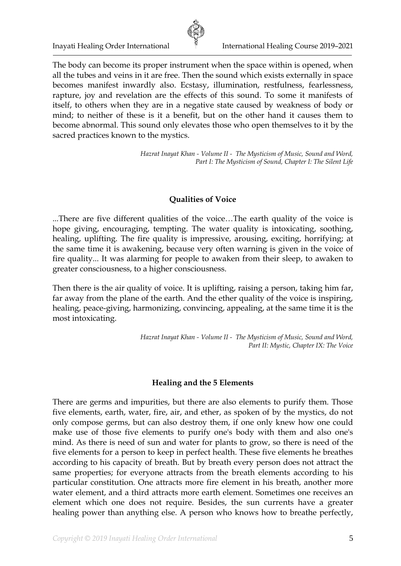

The body can become its proper instrument when the space within is opened, when all the tubes and veins in it are free. Then the sound which exists externally in space becomes manifest inwardly also. Ecstasy, illumination, restfulness, fearlessness, rapture, joy and revelation are the effects of this sound. To some it manifests of itself, to others when they are in a negative state caused by weakness of body or mind; to neither of these is it a benefit, but on the other hand it causes them to become abnormal. This sound only elevates those who open themselves to it by the sacred practices known to the mystics.

> *Hazrat Inayat Khan - Volume II - The Mysticism of Music, Sound and Word, Part I: The Mysticism of Sound, Chapter I: The Silent Life*

## **Qualities of Voice**

...There are five different qualities of the voice…The earth quality of the voice is hope giving, encouraging, tempting. The water quality is intoxicating, soothing, healing, uplifting. The fire quality is impressive, arousing, exciting, horrifying; at the same time it is awakening, because very often warning is given in the voice of fire quality... It was alarming for people to awaken from their sleep, to awaken to greater consciousness, to a higher consciousness.

Then there is the air quality of voice. It is uplifting, raising a person, taking him far, far away from the plane of the earth. And the ether quality of the voice is inspiring, healing, peace-giving, harmonizing, convincing, appealing, at the same time it is the most intoxicating.

> *Hazrat Inayat Khan - Volume II - The Mysticism of Music, Sound and Word, Part II: Mystic, Chapter IX: The Voice*

### **Healing and the 5 Elements**

There are germs and impurities, but there are also elements to purify them. Those five elements, earth, water, fire, air, and ether, as spoken of by the mystics, do not only compose germs, but can also destroy them, if one only knew how one could make use of those five elements to purify one's body with them and also one's mind. As there is need of sun and water for plants to grow, so there is need of the five elements for a person to keep in perfect health. These five elements he breathes according to his capacity of breath. But by breath every person does not attract the same properties; for everyone attracts from the breath elements according to his particular constitution. One attracts more fire element in his breath, another more water element, and a third attracts more earth element. Sometimes one receives an element which one does not require. Besides, the sun currents have a greater healing power than anything else. A person who knows how to breathe perfectly,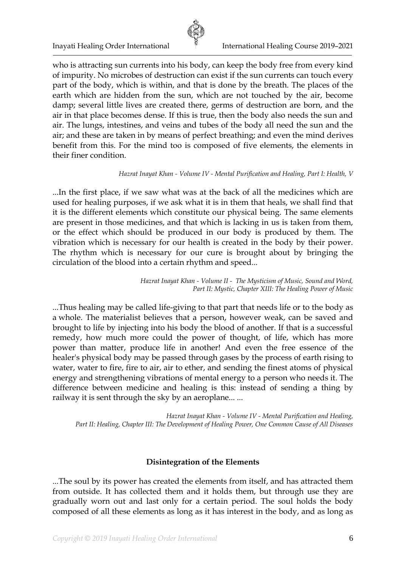

who is attracting sun currents into his body, can keep the body free from every kind of impurity. No microbes of destruction can exist if the sun currents can touch every part of the body, which is within, and that is done by the breath. The places of the earth which are hidden from the sun, which are not touched by the air, become damp; several little lives are created there, germs of destruction are born, and the air in that place becomes dense. If this is true, then the body also needs the sun and air. The lungs, intestines, and veins and tubes of the body all need the sun and the air; and these are taken in by means of perfect breathing; and even the mind derives benefit from this. For the mind too is composed of five elements, the elements in their finer condition.

#### *Hazrat Inayat Khan - Volume IV - Mental Purification and Healing, Part I: Health, V*

...In the first place, if we saw what was at the back of all the medicines which are used for healing purposes, if we ask what it is in them that heals, we shall find that it is the different elements which constitute our physical being. The same elements are present in those medicines, and that which is lacking in us is taken from them, or the effect which should be produced in our body is produced by them. The vibration which is necessary for our health is created in the body by their power. The rhythm which is necessary for our cure is brought about by bringing the circulation of the blood into a certain rhythm and speed...

> *Hazrat Inayat Khan - Volume II - The Mysticism of Music, Sound and Word, Part II: Mystic, Chapter XIII: The Healing Power of Music*

...Thus healing may be called life-giving to that part that needs life or to the body as a whole. The materialist believes that a person, however weak, can be saved and brought to life by injecting into his body the blood of another. If that is a successful remedy, how much more could the power of thought, of life, which has more power than matter, produce life in another! And even the free essence of the healer's physical body may be passed through gases by the process of earth rising to water, water to fire, fire to air, air to ether, and sending the finest atoms of physical energy and strengthening vibrations of mental energy to a person who needs it. The difference between medicine and healing is this: instead of sending a thing by railway it is sent through the sky by an aeroplane... ...

*Hazrat Inayat Khan - Volume IV - Mental Purification and Healing, Part II: Healing, Chapter III: The Development of Healing Power, One Common Cause of All Diseases*

## **Disintegration of the Elements**

...The soul by its power has created the elements from itself, and has attracted them from outside. It has collected them and it holds them, but through use they are gradually worn out and last only for a certain period. The soul holds the body composed of all these elements as long as it has interest in the body, and as long as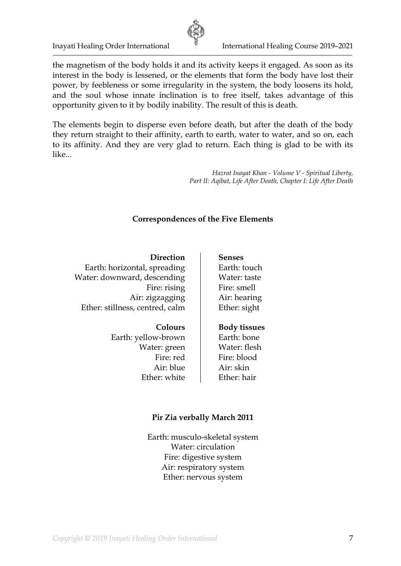

Inayati Healing Order International **International Healing Course 2019–2021** 

the magnetism of the body holds it and its activity keeps it engaged. As soon as its interest in the body is lessened, or the elements that form the body have lost their power, by feebleness or some irregularity in the system, the body loosens its hold, and the soul whose innate inclination is to free itself, takes advantage of this opportunity given to it by bodily inability. The result of this is death.

The elements begin to disperse even before death, but after the death of the body they return straight to their affinity, earth to earth, water to water, and so on, each to its affinity. And they are very glad to return. Each thing is glad to be with its like...

> *Hazrat Inayat Khan - Volume V - Spiritual Liberty, Part II: Aqibat, Life After Death, Chapter I: Life After Death*

### **Correspondences of the Five Elements**

**Direction** Earth: horizontal, spreading Water: downward, descending Fire: rising Air: zigzagging Ether: stillness, centred, calm

## **Colours**

Earth: yellow-brown Water: green Fire: red Air: blue Ether: white

# **Senses**

Earth: touch Water: taste Fire: smell Air: hearing Ether: sight

### **Body tissues**

Earth: bone Water: flesh Fire: blood Air: skin Ether: hair

### **Pir Zia verbally March 2011**

Earth: musculo-skeletal system Water: circulation Fire: digestive system Air: respiratory system Ether: nervous system